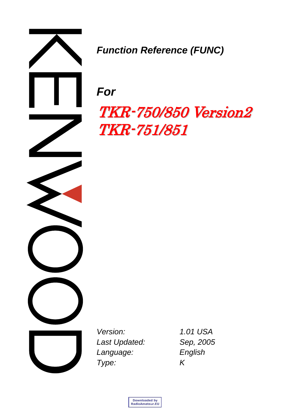

<span id="page-0-1"></span>*Function Reference (FUNC)*

*For* 

# TKR-750/850 Version2 TKR-751/851

<span id="page-0-0"></span>*Version: 1.01 USA Last Updated: Sep, 2005 Language: English Type: K*

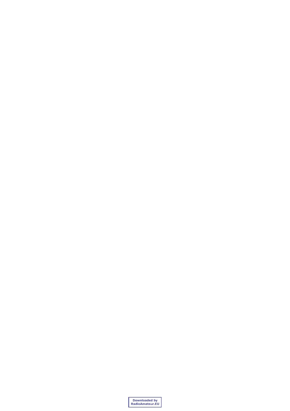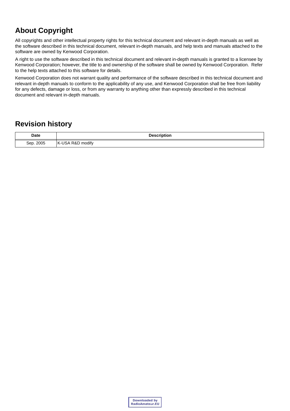## **About Copyright**

All copyrights and other intellectual property rights for this technical document and relevant in-depth manuals as well as the software described in this technical document, relevant in-depth manuals, and help texts and manuals attached to the software are owned by Kenwood Corporation.

A right to use the software described in this technical document and relevant in-depth manuals is granted to a licensee by Kenwood Corporation; however, the title to and ownership of the software shall be owned by Kenwood Corporation. Refer to the help texts attached to this software for details.

Kenwood Corporation does not warrant quality and performance of the software described in this technical document and relevant in-depth manuals to conform to the applicability of any use, and Kenwood Corporation shall be free from liability for any defects, damage or loss, or from any warranty to anything other than expressly described in this technical document and relevant in-depth manuals.

### **Revision history**

| Date          | <b>Description</b>                      |
|---------------|-----------------------------------------|
| . 2005<br>Sep | modify<br><b>R&amp;F</b><br>$K-$<br>154 |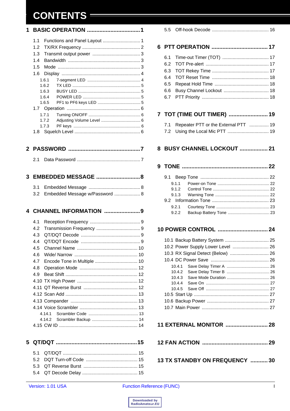## **CONTENTS =**

| 1              |     |                                |
|----------------|-----|--------------------------------|
|                | 1.1 | Functions and Panel Layout  1  |
|                | 1.2 |                                |
|                | 1.3 |                                |
|                | 1.4 |                                |
|                | 1.5 |                                |
|                | 1.6 |                                |
|                |     | 1.6.1                          |
|                |     | 1.6.2                          |
|                |     | 1.6.3                          |
|                |     | 1.6.4<br>1.6.5                 |
|                |     |                                |
|                |     | 1.7.1                          |
|                |     | 1.7.2                          |
|                |     | 1.7.3                          |
|                |     |                                |
|                |     |                                |
| $\mathfrak{p}$ |     |                                |
|                |     |                                |
|                | 2.1 |                                |
|                |     |                                |
| 3              |     |                                |
|                |     |                                |
|                | 3.1 |                                |
|                | 3.2 | Embedded Message w/Password  8 |
|                |     |                                |
| 4              |     | CHANNEL INFORMATION 9          |
|                |     |                                |
|                | 4.1 |                                |
|                | 4.2 |                                |
|                | 4.3 |                                |
|                | 4.4 |                                |
|                | 4.5 |                                |
|                | 46  |                                |
|                | 4.7 |                                |
|                | 4.8 |                                |
|                | 4.9 |                                |
|                |     |                                |
|                |     |                                |
|                |     |                                |
|                |     |                                |
|                |     |                                |
|                |     |                                |
|                |     | 4.14.2                         |
|                |     |                                |
| 5              |     |                                |
|                |     |                                |
|                | 5.1 |                                |
|                |     |                                |

|   | 6.1<br>6.2<br>6.3<br>6.4<br>6.5<br>6.6<br>6.7 |        |                                      |  |  |
|---|-----------------------------------------------|--------|--------------------------------------|--|--|
|   |                                               |        | 7 TOT (TIME OUT TIMER)  19           |  |  |
|   | 7.1                                           |        | Repeater PTT or the External PTT  19 |  |  |
|   |                                               |        |                                      |  |  |
|   | 7.2                                           |        |                                      |  |  |
|   |                                               |        |                                      |  |  |
| 8 |                                               |        | BUSY CHANNEL LOCKOUT  21             |  |  |
|   |                                               |        |                                      |  |  |
|   |                                               |        |                                      |  |  |
| 9 |                                               |        |                                      |  |  |
|   |                                               |        |                                      |  |  |
|   |                                               | 9.1.1  |                                      |  |  |
|   |                                               | 9.1.2  |                                      |  |  |
|   |                                               | 9.1.3  |                                      |  |  |
|   |                                               |        |                                      |  |  |
|   |                                               | 9.2.1  |                                      |  |  |
|   |                                               | 9.2.2  |                                      |  |  |
|   |                                               |        |                                      |  |  |
|   |                                               |        |                                      |  |  |
|   |                                               |        |                                      |  |  |
|   |                                               |        | 10.1 Backup Battery System  25       |  |  |
|   |                                               |        | 10.2 Power Supply Lower Level  26    |  |  |
|   |                                               |        | 10.3 RX Signal Detect (Below)  26    |  |  |
|   |                                               |        |                                      |  |  |
|   |                                               | 10.4.1 |                                      |  |  |
|   |                                               |        |                                      |  |  |
|   |                                               | 10.4.3 |                                      |  |  |
|   |                                               | 10.4.4 |                                      |  |  |
|   |                                               | 10.4.5 |                                      |  |  |
|   |                                               |        |                                      |  |  |
|   |                                               |        |                                      |  |  |
|   |                                               |        |                                      |  |  |
|   |                                               |        |                                      |  |  |
|   |                                               |        | 11 EXTERNAL MONITOR  28              |  |  |

|--|--|--|

#### 13 TX STANDBY ON FREQUENCY ........... 30

**Function Reference (FUNC)** 

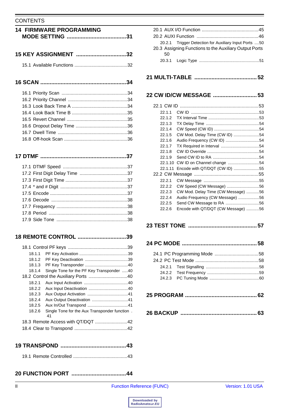#### **CONTENTS**

| <b>14 FIRMWARE PROGRAMMING</b> |  |
|--------------------------------|--|
|                                |  |

- **[15 KEY ASSIGNMENT ................................32](#page-38-0)**
- [15.1 Available Functions .........................................32](#page-38-1)
- **[16 SCAN .......................................................34](#page-40-0)**

**[17](#page-43-0) DTMF .......................................................37**

#### **[18 REMOTE CONTROL ...............................39](#page-45-0)**

| 18.1.1 |                                                     |  |  |
|--------|-----------------------------------------------------|--|--|
| 18.1.2 |                                                     |  |  |
| 18.1.3 |                                                     |  |  |
| 18.1.4 | Single Tone for the PF Key Transponder 40           |  |  |
|        |                                                     |  |  |
| 18.2.1 |                                                     |  |  |
| 18.2.2 |                                                     |  |  |
| 18.2.3 |                                                     |  |  |
| 18.2.4 | Aux Output Deactivation 41                          |  |  |
| 18.2.5 |                                                     |  |  |
| 18.2.6 | Single Tone for the Aux Transponder function.<br>41 |  |  |
|        |                                                     |  |  |
|        |                                                     |  |  |

[19.1 Remote Controlled ..........................................43](#page-49-1)

#### [20.1 AUX I/O Function ............................................45](#page-51-0) [20.2 AUXI Function ................................................46](#page-52-0) [20.2.1 Trigger Detection for Auxiliary Input Ports ....50](#page-56-0) [20.3 Assigning Functions to the Auxiliary Output Ports](#page-56-1)  50 [20.3.1 Logic Type ....................................................51](#page-57-0)

#### **[21](#page-58-0) MULTI-TABLE ........................................ 52**

#### **[22 CW ID/CW MESSAGE ............................ 53](#page-59-0)**

| 22.1.1  |                                    |  |
|---------|------------------------------------|--|
| 22.1.2  |                                    |  |
| 22.1.3  |                                    |  |
| 22.1.4  |                                    |  |
| 22.1.5  | CW Mod. Delay Time (CW ID) 54      |  |
| 22.1.6  | Audio Frequency (CW ID) 54         |  |
| 22.1.7  |                                    |  |
| 22.1.8  |                                    |  |
| 22.1.9  |                                    |  |
| 22.1.10 | CW ID on Channel change 54         |  |
| 22.1.11 | Encode with QT/DQT (CW ID) 55      |  |
|         |                                    |  |
| 22.2.1  |                                    |  |
| 22.2.2  |                                    |  |
| 22.2.3  | CW Mod. Delay Time (CW Message) 56 |  |
| 22.2.4  | Audio Frequency (CW Message) 56    |  |
| 22.2.5  | Send CW Message to RA 56           |  |
| 22.2.6  | Encode with QT/DQT (CW Message) 56 |  |
|         |                                    |  |

#### **[23](#page-63-0) TEST TONE ............................................ 57**

#### **[24 PC MODE ................................................ 58](#page-64-0)**

|--|--|--|--|

#### **[20 FUNCTION PORT ...................................44](#page-50-0)**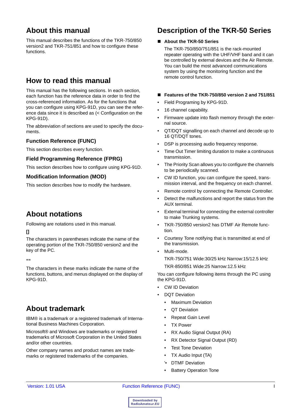### **About this manual**

This manual describes the functions of the TKR-750/850 version2 and TKR-751/851 and how to configure these functions.

## **How to read this manual**

This manual has the following sections. In each section, each function has the reference data in order to find the cross-referenced information. As for the functions that you can configure using KPG-91D, you can see the reference data since it is described as (< Configuration on the KPG-91D).

The abbreviation of sections are used to specify the documents.

#### **Function Reference (FUNC)**

This section describes every function.

#### **Field Programming Reference (FPRG)**

This section describes how to configure using KPG-91D.

#### **Modification Information (MOD)**

This section describes how to modify the hardware.

## **About notations**

Following are notations used in this manual.

#### **[]**

The characters in parentheses indicate the name of the operating portion of the TKR-750/850 version2 and the key of the PC.

**""**

The characters in these marks indicate the name of the functions, buttons, and menus displayed on the display of KPG-91D.

### **About trademark**

IBM® is a trademark or a registered trademark of International Business Machines Corporation.

Microsoft® and Windows are trademarks or registered trademarks of Microsoft Corporation in the United States and/or other countries.

Other company names and product names are trademarks or registered trademarks of the companies.

## **Description of the TKR-50 Series**

#### ■ About the TKR-50 Series

The TKR-750/850/751/851 is the rack-mounted repeater operating with the UHF/VHF band and it can be controlled by external devices and the Air Remote. You can build the most advanced communications system by using the monitoring function and the remote control function.

- **Features of the TKR-750/850 version 2 and 751/851**
- Field Programing by KPG-91D.
- 16 channel capability.
- Firmware update into flash memory through the external source.
- QT/DQT signalling on each channel and decode up to 16 QT/DQT tones.
- DSP is processing audio frequency response.
- Time Out Timer limiting duration to make a continuous transmission.
- The Priority Scan allows you to configure the channels to be periodically scanned.
- CW ID function, you can configure the speed, transmission interval, and the frequency on each channel.
- Remote control by connecting the Remote Controller.
- Detect the malfunctions and report the status from the AUX terminal.
- External terminal for connecting the external controller to make Trunking systems.
- TKR-750/850 version2 has DTMF Air Remote function.
- Courtesy Tone notifying that is transmitted at end of the transmission.
- Multi-mode.

TKR-750/751 Wide:30/25 kHz Narrow:15/12.5 kHz TKR-850/851 Wide:25 Narrow:12.5 kHz

You can configure following items through the PC using the KPG-91D.

- CW ID Deviation
- DQT Deviation
	- Maximum Deviation
	- **QT** Deviation
	- Repeat Gain Level
	- TX Power
	- RX Audio Signal Output (RA)
	- RX Detector Signal Output (RD)
	- **Test Tone Deviation**
	- TX Audio Input (TA)
	- '• DTMF Deviation
	- **Battery Operation Tone**

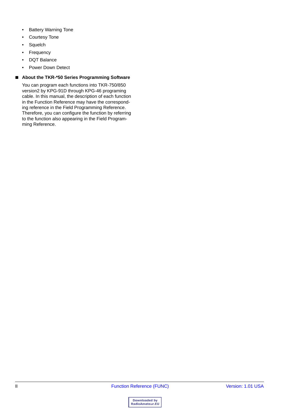- Battery Warning Tone
- Courtesy Tone
- Squelch
- Frequency
- DQT Balance
- Power Down Detect

#### ■ About the TKR-\*50 Series Programming Software

You can program each functions into TKR-750/850 version2 by KPG-91D through KPG-46 programing cable. In this manual, the description of each function in the Function Reference may have the corresponding reference in the Field Programming Reference. Therefore, you can configure the function by referring to the function also appearing in the Field Programming Reference.

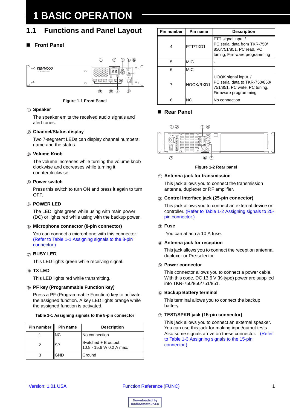## <span id="page-7-0"></span>**1 BASIC OPERATION**

## <span id="page-7-1"></span>**1.1 Functions and Panel Layout**

#### ! **Front Panel**



#### **Figure 1-1 Front Panel**

#### **Speaker**

The speaker emits the received audio signals and alert tones.

#### **Channel/Status display**

Two 7-segment LEDs can display channel numbers, name and the status.

#### **Volume Knob**

The volume increases while turning the volume knob clockwise and decreases while turning it counterclockwise.

#### **Power switch**

Press this switch to turn ON and press it again to turn OFF.

#### **POWER LED**

The LED lights green while using with main power (DC) or lights red while using with the backup power.

#### **Microphone connector (8-pin connector)**

You can connect a microphone with this connector. (Refer to Table 1-1 Assigning signals to the 8-pin connector.)

#### **BUSY LED**

This LED lights green while receiving signal.

#### **TX LED**

This LED lights red while transmitting.

#### **PF key (Programmable Function key)**

Press a PF (Programmable Function) key to activate the assigned function. A key LED lights orange while the assigned function is activated.

#### **Table 1-1 Assigning signals to the 8-pin connector**

| Pin number II | Pin name   | <b>Description</b>                                |
|---------------|------------|---------------------------------------------------|
|               | NС         | No connection                                     |
|               | SВ         | Switched + B output:<br>10.8 - 15.6 V/ 0.2 A max. |
|               | <b>GND</b> | Ground                                            |

| Pin number | Pin name   | <b>Description</b>                                                                                              |
|------------|------------|-----------------------------------------------------------------------------------------------------------------|
| 4          | PTT/TXD1   | PTT signal input./<br>PC serial data from TKR-750/<br>850/751/851. PC read, PC<br>tuning, Firmware programming  |
| 5          | <b>MIG</b> |                                                                                                                 |
| 6          | <b>MIC</b> |                                                                                                                 |
|            | HOOK/RXD1  | HOOK signal input. /<br>PC serial data to TKR-750/850/<br>751/851. PC write, PC tuning,<br>Firmware programming |
| ጸ          | <b>NC</b>  | No connection                                                                                                   |

#### ! **Rear Panel**



#### **Figure 1-2 Rear panel**

#### **Antenna jack for transmission**

This jack allows you to connect the transmission antenna, duplexer or RF amplifier.

#### **Control Interface jack (25-pin connector)**

This jack allows you to connect an external device or controller. (Refer to Table 1-2 Assigning signals to 25 pin connector.)

#### **Fuse**

You can attach a 10 A fuse.

#### **Antenna jack for reception**

This jack allows you to connect the reception antenna, duplexer or Pre-selector.

#### **Power connector**

This connector allows you to connect a power cable. With this code, DC 13.6 V (K-type) power are supplied into TKR-750/850/751/851.

#### **Backup Battery terminal**

This terminal allows you to connect the backup battery.

#### **TEST/SPKR jack (15-pin connector)**

This jack allows you to connect an external speaker. You can use this jack for making input/output tests. Also some signals arrive on these connector. (Refer to Table 1-3 Assigning signals to the 15-pin connector.)

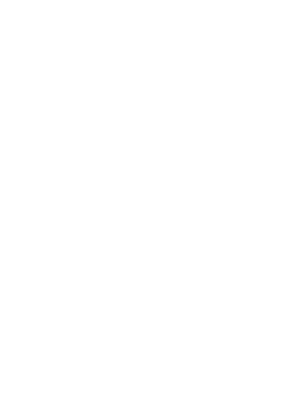## **1 BASIC OPERATION**

#### **Functions and Panel Layout**  $1.1$

#### Front Panel



#### **Figure 1-1 Front Panel**

#### 1 Speaker

The speaker emits the received audio signals and alert tones.

#### 2 Channel/Status display

Two 7-segment LEDs can display channel numbers, name and the status.

#### **3 Volume Knob**

The volume increases while turning the volume knob clockwise and decreases while turning it counterclockwise.

#### 4) Power switch

Press this switch to turn ON and press it again to turn OFF.

#### 5 POWER LED

The LED lights green while using with main power (DC) or lights red while using with the backup power.

#### 6 Microphone connector (8-pin connector)

You can connect a microphone with this connector. (Refer to Table 1-1 Assigning signals to the 8-pin connector.)

#### 7 BUSY LED

This LED lights green while receiving signal.

#### 8 TX LED

This LED lights red while transmitting.

#### **9 PF key (Programmable Function key)**

Press a PF (Programmable Function) key to activate the assigned function. A key LED lights orange while the assigned function is activated.

#### Table 1-1 Assigning signals to the 8-pin connector

| Pin number II | Pin name   | <b>Description</b>                                |
|---------------|------------|---------------------------------------------------|
|               | NС         | No connection                                     |
|               | SВ         | Switched + B output:<br>10.8 - 15.6 V/ 0.2 A max. |
|               | <b>GND</b> | Ground                                            |

| <b>Pin number</b> | Pin name   | <b>Description</b>                                                                                              |
|-------------------|------------|-----------------------------------------------------------------------------------------------------------------|
|                   | PTT/TXD1   | PTT signal input./<br>PC serial data from TKR-750/<br>850/751/851. PC read, PC<br>tuning, Firmware programming  |
| 5                 | <b>MIG</b> |                                                                                                                 |
| 6                 | <b>MIC</b> |                                                                                                                 |
|                   | HOOK/RXD1  | HOOK signal input. /<br>PC serial data to TKR-750/850/<br>751/851. PC write, PC tuning,<br>Firmware programming |
| Զ                 | NC         | No connection                                                                                                   |

#### Rear Panel



#### Figure 1-2 Rear panel

#### 1 Antenna jack for transmission

This jack allows you to connect the transmission antenna, duplexer or RF amplifier.

#### 2 Control Interface jack (25-pin connector)

This jack allows you to connect an external device or controller. (Refer to Table 1-2 Assigning signals to 25pin connector.)

#### 3 Fuse

You can attach a 10 A fuse

#### 4 Antenna jack for reception

This jack allows you to connect the reception antenna, duplexer or Pre-selector.

#### 5 Power connector

This connector allows you to connect a power cable. With this code, DC 13.6 V (K-type) power are supplied into TKR-750/850/751/851.

#### 6 Backup Battery terminal

This terminal allows you to connect the backup battery.

#### 7 TEST/SPKR jack (15-pin connector)

This jack allows you to connect an external speaker. You can use this jack for making input/output tests. Also some signals arrive on these connector. (Refer to Table 1-3 Assigning signals to the 15-pin connector.)